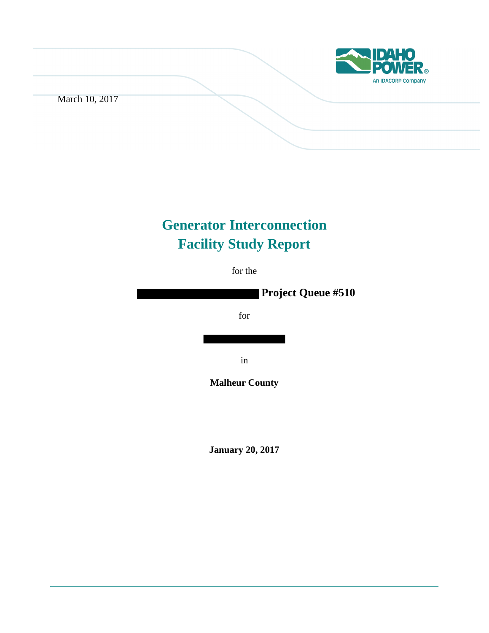

March 10, 2017

# **Generator Interconnection Facility Study Report**

for the

 **Project Queue #510**

for

in

**Malheur County**

**January 20, 2017**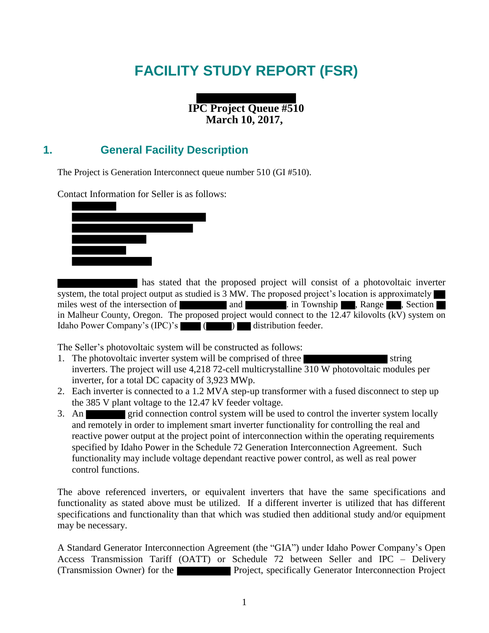# **FACILITY STUDY REPORT (FSR)**

**IPC Project Queue #510 March 10, 2017,**

### **1. General Facility Description**

The Project is Generation Interconnect queue number 510 (GI #510).

Contact Information for Seller is as follows:



has stated that the proposed project will consist of a photovoltaic inverter system, the total project output as studied is 3 MW. The proposed project's location is approximately miles west of the intersection of and and . in Township , Range , Section in Malheur County, Oregon. The proposed project would connect to the 12.47 kilovolts (kV) system on Idaho Power Company's  $(IPC)'s$  ( ) distribution feeder.

The Seller's photovoltaic system will be constructed as follows:

- 1. The photovoltaic inverter system will be comprised of three inverters. The project will use 4,218 72-cell multicrystalline 310 W photovoltaic modules per inverter, for a total DC capacity of 3,923 MWp.
- 2. Each inverter is connected to a 1.2 MVA step-up transformer with a fused disconnect to step up the 385 V plant voltage to the 12.47 kV feeder voltage.
- 3. An grid connection control system will be used to control the inverter system locally and remotely in order to implement smart inverter functionality for controlling the real and reactive power output at the project point of interconnection within the operating requirements specified by Idaho Power in the Schedule 72 Generation Interconnection Agreement. Such functionality may include voltage dependant reactive power control, as well as real power control functions.

The above referenced inverters, or equivalent inverters that have the same specifications and functionality as stated above must be utilized. If a different inverter is utilized that has different specifications and functionality than that which was studied then additional study and/or equipment may be necessary.

A Standard Generator Interconnection Agreement (the "GIA") under Idaho Power Company's Open Access Transmission Tariff (OATT) or Schedule 72 between Seller and IPC – Delivery (Transmission Owner) for the Project, specifically Generator Interconnection Project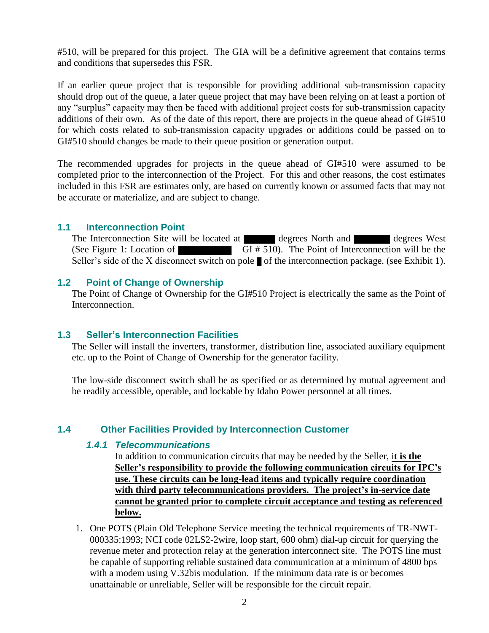#510, will be prepared for this project. The GIA will be a definitive agreement that contains terms and conditions that supersedes this FSR.

If an earlier queue project that is responsible for providing additional sub-transmission capacity should drop out of the queue, a later queue project that may have been relying on at least a portion of any "surplus" capacity may then be faced with additional project costs for sub-transmission capacity additions of their own. As of the date of this report, there are projects in the queue ahead of GI#510 for which costs related to sub-transmission capacity upgrades or additions could be passed on to GI#510 should changes be made to their queue position or generation output.

The recommended upgrades for projects in the queue ahead of GI#510 were assumed to be completed prior to the interconnection of the Project. For this and other reasons, the cost estimates included in this FSR are estimates only, are based on currently known or assumed facts that may not be accurate or materialize, and are subject to change.

#### **1.1 Interconnection Point**

The Interconnection Site will be located at degrees North and degrees West (See Figure 1: Location of  $\blacksquare - GI \# 510$ ). The Point of Interconnection will be the Seller's side of the X disconnect switch on pole  $\blacksquare$  of the interconnection package. (see Exhibit 1).

#### **1.2 Point of Change of Ownership**

The Point of Change of Ownership for the GI#510 Project is electrically the same as the Point of Interconnection.

#### **1.3 Seller's Interconnection Facilities**

The Seller will install the inverters, transformer, distribution line, associated auxiliary equipment etc. up to the Point of Change of Ownership for the generator facility.

The low-side disconnect switch shall be as specified or as determined by mutual agreement and be readily accessible, operable, and lockable by Idaho Power personnel at all times.

### **1.4 Other Facilities Provided by Interconnection Customer**

#### *1.4.1 Telecommunications*

In addition to communication circuits that may be needed by the Seller, i**t is the Seller's responsibility to provide the following communication circuits for IPC's use. These circuits can be long-lead items and typically require coordination with third party telecommunications providers. The project's in-service date cannot be granted prior to complete circuit acceptance and testing as referenced below.** 

1. One POTS (Plain Old Telephone Service meeting the technical requirements of TR-NWT-000335:1993; NCI code 02LS2-2wire, loop start, 600 ohm) dial-up circuit for querying the revenue meter and protection relay at the generation interconnect site. The POTS line must be capable of supporting reliable sustained data communication at a minimum of 4800 bps with a modem using V.32bis modulation. If the minimum data rate is or becomes unattainable or unreliable, Seller will be responsible for the circuit repair.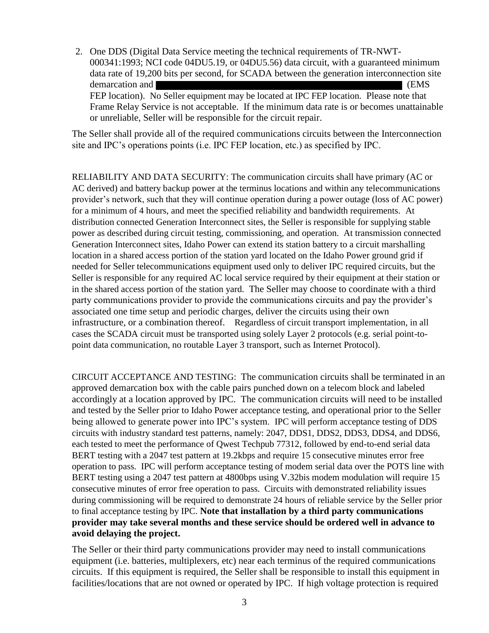2. One DDS (Digital Data Service meeting the technical requirements of TR-NWT-000341:1993; NCI code 04DU5.19, or 04DU5.56) data circuit, with a guaranteed minimum data rate of 19,200 bits per second, for SCADA between the generation interconnection site demarcation and  $(1.00 \text{ m})$ FEP location). No Seller equipment may be located at IPC FEP location. Please note that Frame Relay Service is not acceptable. If the minimum data rate is or becomes unattainable or unreliable, Seller will be responsible for the circuit repair.

The Seller shall provide all of the required communications circuits between the Interconnection site and IPC's operations points (i.e. IPC FEP location, etc.) as specified by IPC.

RELIABILITY AND DATA SECURITY: The communication circuits shall have primary (AC or AC derived) and battery backup power at the terminus locations and within any telecommunications provider's network, such that they will continue operation during a power outage (loss of AC power) for a minimum of 4 hours, and meet the specified reliability and bandwidth requirements. At distribution connected Generation Interconnect sites, the Seller is responsible for supplying stable power as described during circuit testing, commissioning, and operation. At transmission connected Generation Interconnect sites, Idaho Power can extend its station battery to a circuit marshalling location in a shared access portion of the station yard located on the Idaho Power ground grid if needed for Seller telecommunications equipment used only to deliver IPC required circuits, but the Seller is responsible for any required AC local service required by their equipment at their station or in the shared access portion of the station yard. The Seller may choose to coordinate with a third party communications provider to provide the communications circuits and pay the provider's associated one time setup and periodic charges, deliver the circuits using their own infrastructure, or a combination thereof. Regardless of circuit transport implementation, in all cases the SCADA circuit must be transported using solely Layer 2 protocols (e.g. serial point-topoint data communication, no routable Layer 3 transport, such as Internet Protocol).

CIRCUIT ACCEPTANCE AND TESTING: The communication circuits shall be terminated in an approved demarcation box with the cable pairs punched down on a telecom block and labeled accordingly at a location approved by IPC. The communication circuits will need to be installed and tested by the Seller prior to Idaho Power acceptance testing, and operational prior to the Seller being allowed to generate power into IPC's system. IPC will perform acceptance testing of DDS circuits with industry standard test patterns, namely: 2047, DDS1, DDS2, DDS3, DDS4, and DDS6, each tested to meet the performance of Qwest Techpub 77312, followed by end-to-end serial data BERT testing with a 2047 test pattern at 19.2kbps and require 15 consecutive minutes error free operation to pass. IPC will perform acceptance testing of modem serial data over the POTS line with BERT testing using a 2047 test pattern at 4800bps using V.32bis modem modulation will require 15 consecutive minutes of error free operation to pass. Circuits with demonstrated reliability issues during commissioning will be required to demonstrate 24 hours of reliable service by the Seller prior to final acceptance testing by IPC. **Note that installation by a third party communications provider may take several months and these service should be ordered well in advance to avoid delaying the project.**

The Seller or their third party communications provider may need to install communications equipment (i.e. batteries, multiplexers, etc) near each terminus of the required communications circuits. If this equipment is required, the Seller shall be responsible to install this equipment in facilities/locations that are not owned or operated by IPC. If high voltage protection is required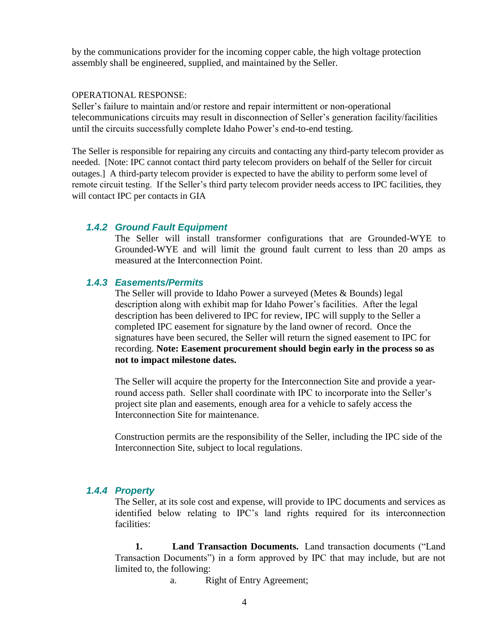by the communications provider for the incoming copper cable, the high voltage protection assembly shall be engineered, supplied, and maintained by the Seller.

#### OPERATIONAL RESPONSE:

Seller's failure to maintain and/or restore and repair intermittent or non-operational telecommunications circuits may result in disconnection of Seller's generation facility/facilities until the circuits successfully complete Idaho Power's end-to-end testing.

The Seller is responsible for repairing any circuits and contacting any third-party telecom provider as needed. [Note: IPC cannot contact third party telecom providers on behalf of the Seller for circuit outages.] A third-party telecom provider is expected to have the ability to perform some level of remote circuit testing. If the Seller's third party telecom provider needs access to IPC facilities, they will contact IPC per contacts in GIA

### *1.4.2 Ground Fault Equipment*

The Seller will install transformer configurations that are Grounded-WYE to Grounded-WYE and will limit the ground fault current to less than 20 amps as measured at the Interconnection Point.

### *1.4.3 Easements/Permits*

The Seller will provide to Idaho Power a surveyed (Metes & Bounds) legal description along with exhibit map for Idaho Power's facilities. After the legal description has been delivered to IPC for review, IPC will supply to the Seller a completed IPC easement for signature by the land owner of record. Once the signatures have been secured, the Seller will return the signed easement to IPC for recording. **Note: Easement procurement should begin early in the process so as not to impact milestone dates.**

The Seller will acquire the property for the Interconnection Site and provide a yearround access path. Seller shall coordinate with IPC to incorporate into the Seller's project site plan and easements, enough area for a vehicle to safely access the Interconnection Site for maintenance.

Construction permits are the responsibility of the Seller, including the IPC side of the Interconnection Site, subject to local regulations.

#### *1.4.4 Property*

The Seller, at its sole cost and expense, will provide to IPC documents and services as identified below relating to IPC's land rights required for its interconnection facilities:

 **1. Land Transaction Documents.** Land transaction documents ("Land Transaction Documents") in a form approved by IPC that may include, but are not limited to, the following:

a. Right of Entry Agreement;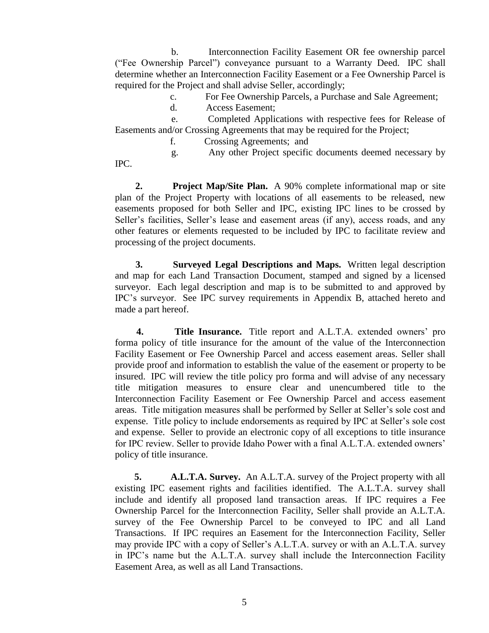b. Interconnection Facility Easement OR fee ownership parcel ("Fee Ownership Parcel") conveyance pursuant to a Warranty Deed. IPC shall determine whether an Interconnection Facility Easement or a Fee Ownership Parcel is required for the Project and shall advise Seller, accordingly;

c. For Fee Ownership Parcels, a Purchase and Sale Agreement;

d. Access Easement;

 e. Completed Applications with respective fees for Release of Easements and/or Crossing Agreements that may be required for the Project;

f. Crossing Agreements; and

 g. Any other Project specific documents deemed necessary by IPC.

 **2. Project Map/Site Plan.** A 90% complete informational map or site plan of the Project Property with locations of all easements to be released, new easements proposed for both Seller and IPC, existing IPC lines to be crossed by Seller's facilities, Seller's lease and easement areas (if any), access roads, and any other features or elements requested to be included by IPC to facilitate review and processing of the project documents.

 **3. Surveyed Legal Descriptions and Maps.** Written legal description and map for each Land Transaction Document, stamped and signed by a licensed surveyor. Each legal description and map is to be submitted to and approved by IPC's surveyor. See IPC survey requirements in Appendix B, attached hereto and made a part hereof.

 **4. Title Insurance.** Title report and A.L.T.A. extended owners' pro forma policy of title insurance for the amount of the value of the Interconnection Facility Easement or Fee Ownership Parcel and access easement areas. Seller shall provide proof and information to establish the value of the easement or property to be insured. IPC will review the title policy pro forma and will advise of any necessary title mitigation measures to ensure clear and unencumbered title to the Interconnection Facility Easement or Fee Ownership Parcel and access easement areas. Title mitigation measures shall be performed by Seller at Seller's sole cost and expense. Title policy to include endorsements as required by IPC at Seller's sole cost and expense. Seller to provide an electronic copy of all exceptions to title insurance for IPC review. Seller to provide Idaho Power with a final A.L.T.A. extended owners' policy of title insurance.

 **5. A.L.T.A. Survey.** An A.L.T.A. survey of the Project property with all existing IPC easement rights and facilities identified. The A.L.T.A. survey shall include and identify all proposed land transaction areas. If IPC requires a Fee Ownership Parcel for the Interconnection Facility, Seller shall provide an A.L.T.A. survey of the Fee Ownership Parcel to be conveyed to IPC and all Land Transactions. If IPC requires an Easement for the Interconnection Facility, Seller may provide IPC with a copy of Seller's A.L.T.A. survey or with an A.L.T.A. survey in IPC's name but the A.L.T.A. survey shall include the Interconnection Facility Easement Area, as well as all Land Transactions.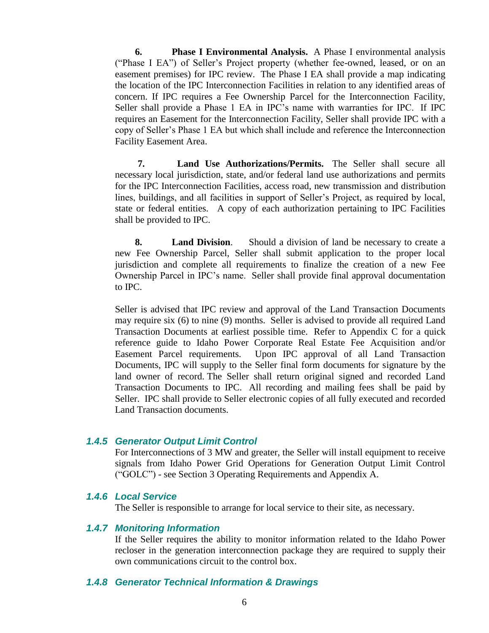**6. Phase I Environmental Analysis.** A Phase I environmental analysis ("Phase I EA") of Seller's Project property (whether fee-owned, leased, or on an easement premises) for IPC review. The Phase I EA shall provide a map indicating the location of the IPC Interconnection Facilities in relation to any identified areas of concern. If IPC requires a Fee Ownership Parcel for the Interconnection Facility, Seller shall provide a Phase 1 EA in IPC's name with warranties for IPC. If IPC requires an Easement for the Interconnection Facility, Seller shall provide IPC with a copy of Seller's Phase 1 EA but which shall include and reference the Interconnection Facility Easement Area.

 **7. Land Use Authorizations/Permits.** The Seller shall secure all necessary local jurisdiction, state, and/or federal land use authorizations and permits for the IPC Interconnection Facilities, access road, new transmission and distribution lines, buildings, and all facilities in support of Seller's Project, as required by local, state or federal entities. A copy of each authorization pertaining to IPC Facilities shall be provided to IPC.

 **8. Land Division**. Should a division of land be necessary to create a new Fee Ownership Parcel, Seller shall submit application to the proper local jurisdiction and complete all requirements to finalize the creation of a new Fee Ownership Parcel in IPC's name. Seller shall provide final approval documentation to IPC.

Seller is advised that IPC review and approval of the Land Transaction Documents may require six (6) to nine (9) months. Seller is advised to provide all required Land Transaction Documents at earliest possible time. Refer to Appendix C for a quick reference guide to Idaho Power Corporate Real Estate Fee Acquisition and/or Easement Parcel requirements. Upon IPC approval of all Land Transaction Documents, IPC will supply to the Seller final form documents for signature by the land owner of record. The Seller shall return original signed and recorded Land Transaction Documents to IPC. All recording and mailing fees shall be paid by Seller. IPC shall provide to Seller electronic copies of all fully executed and recorded Land Transaction documents.

#### *1.4.5 Generator Output Limit Control*

For Interconnections of 3 MW and greater, the Seller will install equipment to receive signals from Idaho Power Grid Operations for Generation Output Limit Control ("GOLC") - see Section 3 Operating Requirements and Appendix A.

#### *1.4.6 Local Service*

The Seller is responsible to arrange for local service to their site, as necessary.

#### *1.4.7 Monitoring Information*

If the Seller requires the ability to monitor information related to the Idaho Power recloser in the generation interconnection package they are required to supply their own communications circuit to the control box.

#### *1.4.8 Generator Technical Information & Drawings*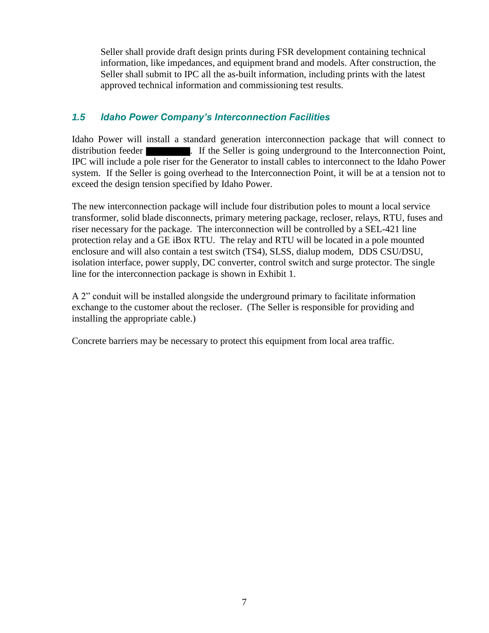Seller shall provide draft design prints during FSR development containing technical information, like impedances, and equipment brand and models. After construction, the Seller shall submit to IPC all the as-built information, including prints with the latest approved technical information and commissioning test results.

### *1.5 Idaho Power Company's Interconnection Facilities*

Idaho Power will install a standard generation interconnection package that will connect to distribution feeder **...** If the Seller is going underground to the Interconnection Point, IPC will include a pole riser for the Generator to install cables to interconnect to the Idaho Power system. If the Seller is going overhead to the Interconnection Point, it will be at a tension not to exceed the design tension specified by Idaho Power.

The new interconnection package will include four distribution poles to mount a local service transformer, solid blade disconnects, primary metering package, recloser, relays, RTU, fuses and riser necessary for the package. The interconnection will be controlled by a SEL-421 line protection relay and a GE iBox RTU. The relay and RTU will be located in a pole mounted enclosure and will also contain a test switch (TS4), SLSS, dialup modem, DDS CSU/DSU, isolation interface, power supply, DC converter, control switch and surge protector. The single line for the interconnection package is shown in Exhibit 1.

A 2" conduit will be installed alongside the underground primary to facilitate information exchange to the customer about the recloser. (The Seller is responsible for providing and installing the appropriate cable.)

Concrete barriers may be necessary to protect this equipment from local area traffic.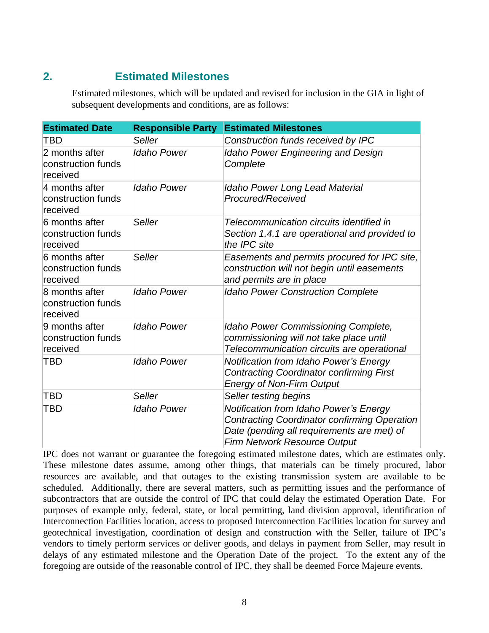### **2. Estimated Milestones**

Estimated milestones, which will be updated and revised for inclusion in the GIA in light of subsequent developments and conditions, are as follows:

| <b>Estimated Date</b>                            | <b>Responsible Party</b> | <b>Estimated Milestones</b>                                                                                                                                                        |  |  |  |  |  |
|--------------------------------------------------|--------------------------|------------------------------------------------------------------------------------------------------------------------------------------------------------------------------------|--|--|--|--|--|
| TBD                                              | Seller                   | Construction funds received by IPC                                                                                                                                                 |  |  |  |  |  |
| 2 months after<br>construction funds<br>received | <b>Idaho Power</b>       | <b>Idaho Power Engineering and Design</b><br>Complete                                                                                                                              |  |  |  |  |  |
| 4 months after<br>construction funds<br>received | <b>Idaho Power</b>       | <b>Idaho Power Long Lead Material</b><br>Procured/Received                                                                                                                         |  |  |  |  |  |
| 6 months after<br>construction funds<br>received | Seller                   | Telecommunication circuits identified in<br>Section 1.4.1 are operational and provided to<br>the IPC site                                                                          |  |  |  |  |  |
| 6 months after<br>construction funds<br>received | Seller                   | Easements and permits procured for IPC site,<br>construction will not begin until easements<br>and permits are in place                                                            |  |  |  |  |  |
| 8 months after<br>construction funds<br>received | <b>Idaho Power</b>       | <b>Idaho Power Construction Complete</b>                                                                                                                                           |  |  |  |  |  |
| 9 months after<br>construction funds<br>received | <b>Idaho Power</b>       | Idaho Power Commissioning Complete,<br>commissioning will not take place until<br>Telecommunication circuits are operational                                                       |  |  |  |  |  |
| TBD                                              | <b>Idaho Power</b>       | <b>Notification from Idaho Power's Energy</b><br><b>Contracting Coordinator confirming First</b><br><b>Energy of Non-Firm Output</b>                                               |  |  |  |  |  |
| <b>TBD</b>                                       | Seller                   | Seller testing begins                                                                                                                                                              |  |  |  |  |  |
| <b>TBD</b>                                       | <b>Idaho Power</b>       | Notification from Idaho Power's Energy<br><b>Contracting Coordinator confirming Operation</b><br>Date (pending all requirements are met) of<br><b>Firm Network Resource Output</b> |  |  |  |  |  |

IPC does not warrant or guarantee the foregoing estimated milestone dates, which are estimates only. These milestone dates assume, among other things, that materials can be timely procured, labor resources are available, and that outages to the existing transmission system are available to be scheduled. Additionally, there are several matters, such as permitting issues and the performance of subcontractors that are outside the control of IPC that could delay the estimated Operation Date. For purposes of example only, federal, state, or local permitting, land division approval, identification of Interconnection Facilities location, access to proposed Interconnection Facilities location for survey and geotechnical investigation, coordination of design and construction with the Seller, failure of IPC's vendors to timely perform services or deliver goods, and delays in payment from Seller, may result in delays of any estimated milestone and the Operation Date of the project. To the extent any of the foregoing are outside of the reasonable control of IPC, they shall be deemed Force Majeure events.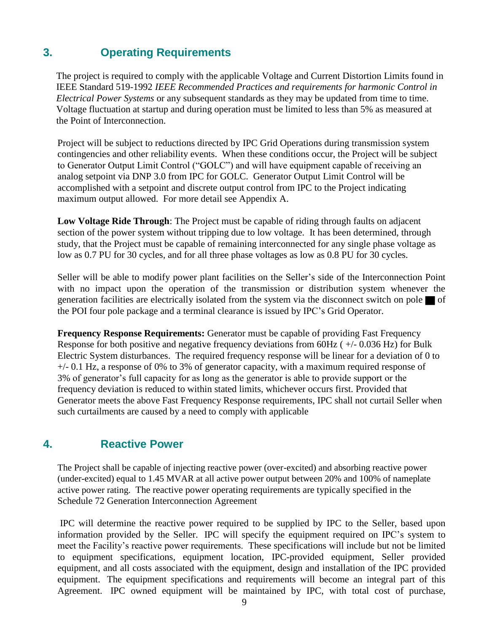### **3. Operating Requirements**

The project is required to comply with the applicable Voltage and Current Distortion Limits found in IEEE Standard 519-1992 *IEEE Recommended Practices and requirements for harmonic Control in Electrical Power Systems* or any subsequent standards as they may be updated from time to time. Voltage fluctuation at startup and during operation must be limited to less than 5% as measured at the Point of Interconnection.

Project will be subject to reductions directed by IPC Grid Operations during transmission system contingencies and other reliability events. When these conditions occur, the Project will be subject to Generator Output Limit Control ("GOLC") and will have equipment capable of receiving an analog setpoint via DNP 3.0 from IPC for GOLC. Generator Output Limit Control will be accomplished with a setpoint and discrete output control from IPC to the Project indicating maximum output allowed. For more detail see Appendix A.

**Low Voltage Ride Through**: The Project must be capable of riding through faults on adjacent section of the power system without tripping due to low voltage. It has been determined, through study, that the Project must be capable of remaining interconnected for any single phase voltage as low as 0.7 PU for 30 cycles, and for all three phase voltages as low as 0.8 PU for 30 cycles.

Seller will be able to modify power plant facilities on the Seller's side of the Interconnection Point with no impact upon the operation of the transmission or distribution system whenever the generation facilities are electrically isolated from the system via the disconnect switch on pole  $\blacksquare$  of the POI four pole package and a terminal clearance is issued by IPC's Grid Operator.

**Frequency Response Requirements:** Generator must be capable of providing Fast Frequency Response for both positive and negative frequency deviations from 60Hz ( +/- 0.036 Hz) for Bulk Electric System disturbances. The required frequency response will be linear for a deviation of 0 to  $+/-$  0.1 Hz, a response of 0% to 3% of generator capacity, with a maximum required response of 3% of generator's full capacity for as long as the generator is able to provide support or the frequency deviation is reduced to within stated limits, whichever occurs first. Provided that Generator meets the above Fast Frequency Response requirements, IPC shall not curtail Seller when such curtailments are caused by a need to comply with applicable

### **4. Reactive Power**

The Project shall be capable of injecting reactive power (over-excited) and absorbing reactive power (under-excited) equal to 1.45 MVAR at all active power output between 20% and 100% of nameplate active power rating. The reactive power operating requirements are typically specified in the Schedule 72 Generation Interconnection Agreement

IPC will determine the reactive power required to be supplied by IPC to the Seller, based upon information provided by the Seller. IPC will specify the equipment required on IPC's system to meet the Facility's reactive power requirements. These specifications will include but not be limited to equipment specifications, equipment location, IPC-provided equipment, Seller provided equipment, and all costs associated with the equipment, design and installation of the IPC provided equipment. The equipment specifications and requirements will become an integral part of this Agreement. IPC owned equipment will be maintained by IPC, with total cost of purchase,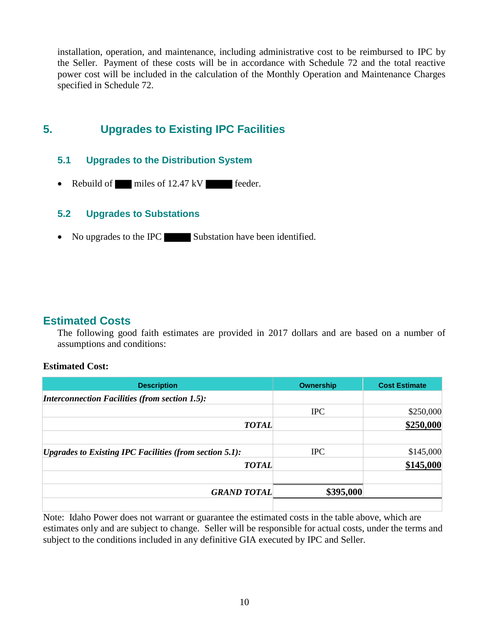installation, operation, and maintenance, including administrative cost to be reimbursed to IPC by the Seller. Payment of these costs will be in accordance with Schedule 72 and the total reactive power cost will be included in the calculation of the Monthly Operation and Maintenance Charges specified in Schedule 72.

### **5. Upgrades to Existing IPC Facilities**

### **5.1 Upgrades to the Distribution System**

• Rebuild of miles of 12.47 kV feeder.

### **5.2 Upgrades to Substations**

• No upgrades to the IPC Substation have been identified.

### **Estimated Costs**

The following good faith estimates are provided in 2017 dollars and are based on a number of assumptions and conditions:

### **Estimated Cost:**

| <b>Description</b>                                             | Ownership  | <b>Cost Estimate</b> |
|----------------------------------------------------------------|------------|----------------------|
| <b>Interconnection Facilities (from section 1.5):</b>          |            |                      |
|                                                                | <b>IPC</b> | \$250,000            |
| <b>TOTAL</b>                                                   |            | \$250,000            |
| <b>Upgrades to Existing IPC Facilities (from section 5.1):</b> | <b>IPC</b> | \$145,000            |
| <b>TOTAL</b>                                                   |            | \$145,000            |
| <b>GRAND TOTAL</b>                                             | \$395,000  |                      |

Note: Idaho Power does not warrant or guarantee the estimated costs in the table above, which are estimates only and are subject to change. Seller will be responsible for actual costs, under the terms and subject to the conditions included in any definitive GIA executed by IPC and Seller.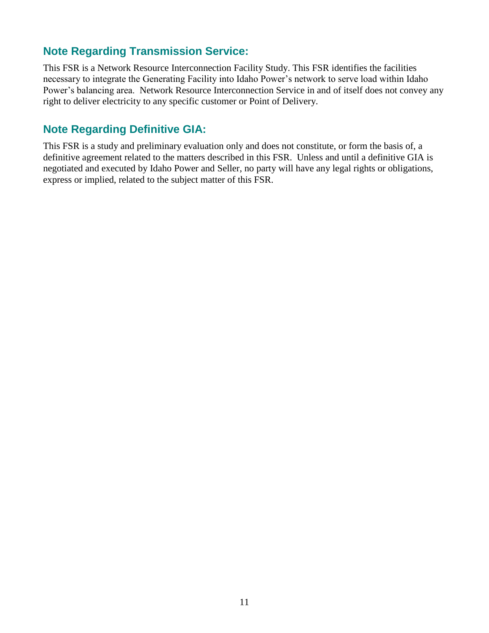### **Note Regarding Transmission Service:**

This FSR is a Network Resource Interconnection Facility Study. This FSR identifies the facilities necessary to integrate the Generating Facility into Idaho Power's network to serve load within Idaho Power's balancing area. Network Resource Interconnection Service in and of itself does not convey any right to deliver electricity to any specific customer or Point of Delivery.

### **Note Regarding Definitive GIA:**

This FSR is a study and preliminary evaluation only and does not constitute, or form the basis of, a definitive agreement related to the matters described in this FSR. Unless and until a definitive GIA is negotiated and executed by Idaho Power and Seller, no party will have any legal rights or obligations, express or implied, related to the subject matter of this FSR.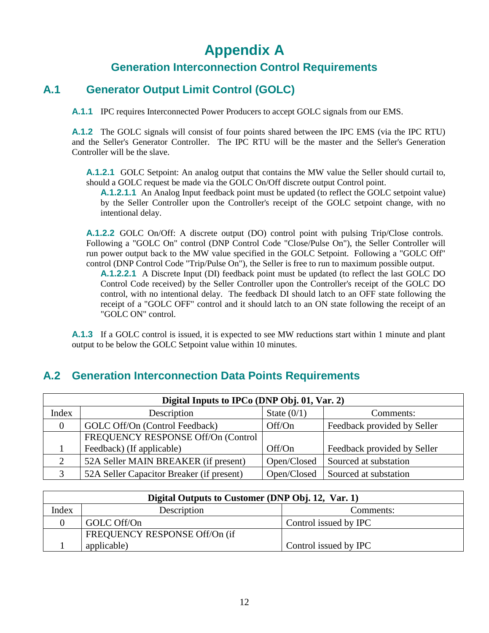## **Appendix A**

### **Generation Interconnection Control Requirements**

### **A.1 Generator Output Limit Control (GOLC)**

**A.1.1** IPC requires Interconnected Power Producers to accept GOLC signals from our EMS.

**A.1.2** The GOLC signals will consist of four points shared between the IPC EMS (via the IPC RTU) and the Seller's Generator Controller. The IPC RTU will be the master and the Seller's Generation Controller will be the slave.

**A.1.2.1** GOLC Setpoint: An analog output that contains the MW value the Seller should curtail to, should a GOLC request be made via the GOLC On/Off discrete output Control point.

**A.1.2.1.1** An Analog Input feedback point must be updated (to reflect the GOLC setpoint value) by the Seller Controller upon the Controller's receipt of the GOLC setpoint change, with no intentional delay.

**A.1.2.2** GOLC On/Off: A discrete output (DO) control point with pulsing Trip/Close controls. Following a "GOLC On" control (DNP Control Code "Close/Pulse On"), the Seller Controller will run power output back to the MW value specified in the GOLC Setpoint. Following a "GOLC Off" control (DNP Control Code "Trip/Pulse On"), the Seller is free to run to maximum possible output.

**A.1.2.2.1** A Discrete Input (DI) feedback point must be updated (to reflect the last GOLC DO Control Code received) by the Seller Controller upon the Controller's receipt of the GOLC DO control, with no intentional delay. The feedback DI should latch to an OFF state following the receipt of a "GOLC OFF" control and it should latch to an ON state following the receipt of an "GOLC ON" control.

**A.1.3** If a GOLC control is issued, it is expected to see MW reductions start within 1 minute and plant output to be below the GOLC Setpoint value within 10 minutes.

### **Digital Inputs to IPCo (DNP Obj. 01, Var. 2)** Index Description State (0/1) Comments: 0 GOLC Off/On (Control Feedback) | Off/On Feedback provided by Seller 1 FREQUENCY RESPONSE Off/On (Control Feedback) (If applicable)  $\qquad \qquad$  Off/On Feedback provided by Seller 2 52A Seller MAIN BREAKER (if present) | Open/Closed Sourced at substation 3 | 52A Seller Capacitor Breaker (if present) | Open/Closed | Sourced at substation

### **A.2 Generation Interconnection Data Points Requirements**

| Digital Outputs to Customer (DNP Obj. 12, Var. 1) |                               |                       |  |  |  |  |  |
|---------------------------------------------------|-------------------------------|-----------------------|--|--|--|--|--|
| Index<br>Description<br>Comments:                 |                               |                       |  |  |  |  |  |
|                                                   | GOLC Off/On                   | Control issued by IPC |  |  |  |  |  |
|                                                   | FREQUENCY RESPONSE Off/On (if |                       |  |  |  |  |  |
|                                                   | applicable)                   | Control issued by IPC |  |  |  |  |  |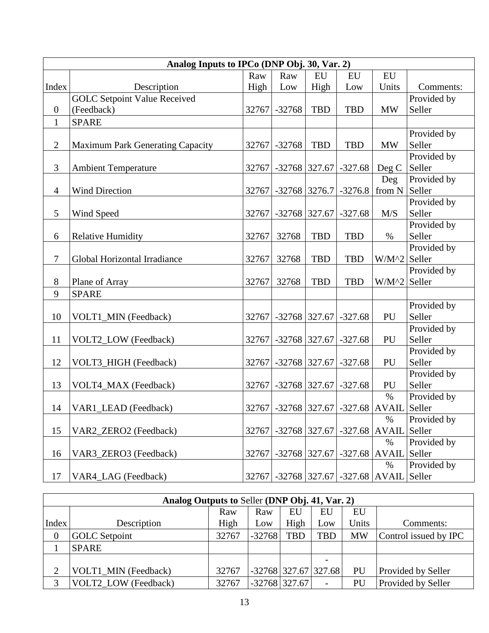| Analog Inputs to IPCo (DNP Obj. 30, Var. 2) |                                     |       |                      |            |                                     |              |             |  |  |
|---------------------------------------------|-------------------------------------|-------|----------------------|------------|-------------------------------------|--------------|-------------|--|--|
|                                             |                                     | Raw   | Raw                  | EU         | EU                                  | EU           |             |  |  |
| Index                                       | Description                         | High  | Low                  | High       | Low                                 | Units        | Comments:   |  |  |
|                                             | <b>GOLC Setpoint Value Received</b> |       |                      |            |                                     |              | Provided by |  |  |
| $\boldsymbol{0}$                            | (Feedback)                          |       | 32767 - 32768        | <b>TBD</b> | <b>TBD</b>                          | <b>MW</b>    | Seller      |  |  |
| $\mathbf{1}$                                | <b>SPARE</b>                        |       |                      |            |                                     |              |             |  |  |
|                                             |                                     |       |                      |            |                                     |              | Provided by |  |  |
| $\overline{2}$                              | Maximum Park Generating Capacity    | 32767 | $-32768$             | <b>TBD</b> | <b>TBD</b>                          | <b>MW</b>    | Seller      |  |  |
|                                             |                                     |       |                      |            |                                     |              | Provided by |  |  |
| 3                                           | <b>Ambient Temperature</b>          |       | 32767 - 32768 327.67 |            | $-327.68$                           | Deg C        | Seller      |  |  |
|                                             |                                     |       |                      |            |                                     | Deg          | Provided by |  |  |
| $\overline{4}$                              | <b>Wind Direction</b>               | 32767 | $-32768$ 3276.7      |            | $-3276.8$                           | from N       | Seller      |  |  |
|                                             |                                     |       |                      |            |                                     |              | Provided by |  |  |
| 5                                           | Wind Speed                          | 32767 | $-32768$ 327.67      |            | $-327.68$                           | M/S          | Seller      |  |  |
|                                             |                                     |       |                      |            |                                     |              | Provided by |  |  |
| 6                                           | <b>Relative Humidity</b>            | 32767 | 32768                | <b>TBD</b> | <b>TBD</b>                          | $\%$         | Seller      |  |  |
|                                             |                                     |       |                      |            |                                     |              | Provided by |  |  |
| $\tau$                                      | Global Horizontal Irradiance        | 32767 | 32768                | <b>TBD</b> | <b>TBD</b>                          | $W/M^2$      | Seller      |  |  |
|                                             |                                     |       |                      |            |                                     |              | Provided by |  |  |
| 8                                           | Plane of Array                      | 32767 | 32768                | <b>TBD</b> | <b>TBD</b>                          | $W/M^2$      | Seller      |  |  |
| 9                                           | <b>SPARE</b>                        |       |                      |            |                                     |              |             |  |  |
|                                             |                                     |       |                      |            |                                     |              | Provided by |  |  |
| 10                                          | VOLT1_MIN (Feedback)                | 32767 | $-32768$ 327.67      |            | $-327.68$                           | PU           | Seller      |  |  |
|                                             |                                     |       |                      |            |                                     |              | Provided by |  |  |
| 11                                          | VOLT2_LOW (Feedback)                | 32767 | $-32768$ 327.67      |            | $-327.68$                           | PU           | Seller      |  |  |
|                                             |                                     |       |                      |            |                                     |              | Provided by |  |  |
| 12                                          | VOLT3_HIGH (Feedback)               | 32767 | $-32768$ 327.67      |            | $-327.68$                           | PU           | Seller      |  |  |
|                                             |                                     |       |                      |            |                                     |              | Provided by |  |  |
| 13                                          | VOLT4_MAX (Feedback)                | 32767 |                      |            | $-32768$ 327.67 $-327.68$           | PU           | Seller      |  |  |
|                                             |                                     |       |                      |            |                                     | $\%$         | Provided by |  |  |
| 14                                          | VAR1_LEAD (Feedback)                |       |                      |            | 32767 - 32768 327.67 - 327.68 AVAIL |              | Seller      |  |  |
|                                             |                                     |       |                      |            |                                     | $\%$         | Provided by |  |  |
| 15                                          | VAR2_ZERO2 (Feedback)               | 32767 |                      |            | $-32768$ 327.67 $-327.68$           | <b>AVAIL</b> | Seller      |  |  |
|                                             |                                     |       |                      |            |                                     | $\%$         | Provided by |  |  |
| 16                                          | VAR3_ZERO3 (Feedback)               | 32767 | $-32768$ 327.67      |            | $-327.68$                           | <b>AVAIL</b> | Seller      |  |  |
|                                             |                                     |       |                      |            |                                     | $\%$         | Provided by |  |  |
| 17                                          | VAR4_LAG (Feedback)                 | 32767 |                      |            | $-32768$ 327.67 $-327.68$ AVAIL     |              | Seller      |  |  |

| Analog Outputs to Seller (DNP Obj. 41, Var. 2) |                             |       |                 |      |                        |           |                           |  |
|------------------------------------------------|-----------------------------|-------|-----------------|------|------------------------|-----------|---------------------------|--|
|                                                |                             | Raw   | Raw             | EU   | EU                     | EU        |                           |  |
| Index                                          | Description                 |       | Low             | High | Low                    | Units     | Comments:                 |  |
| $\overline{0}$                                 | <b>GOLC</b> Setpoint        | 32767 | $-32768$        | TBD  | <b>TBD</b>             | <b>MW</b> | Control issued by IPC     |  |
|                                                | <b>SPARE</b>                |       |                 |      |                        |           |                           |  |
|                                                |                             |       |                 |      |                        |           |                           |  |
| ∍                                              | VOLT1 MIN (Feedback)        | 32767 |                 |      | $-32768$ 327.67 327.68 | PU        | <b>Provided by Seller</b> |  |
| 2                                              | <b>VOLT2 LOW (Feedback)</b> | 32767 | $-32768$ 327.67 |      |                        | PU        | Provided by Seller        |  |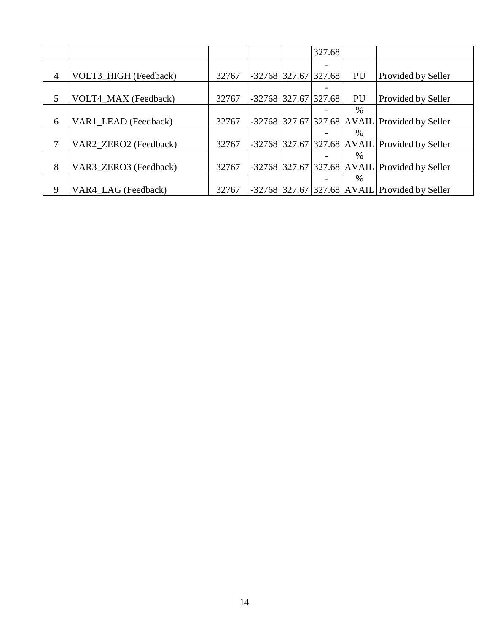|                |                       |       |                        | 327.68 |      |                                                 |
|----------------|-----------------------|-------|------------------------|--------|------|-------------------------------------------------|
|                |                       |       |                        |        |      |                                                 |
| $\overline{4}$ | VOLT3_HIGH (Feedback) | 32767 | $-32768$ 327.67 327.68 |        | PU   | Provided by Seller                              |
|                |                       |       |                        |        |      |                                                 |
| 5              | VOLT4_MAX (Feedback)  | 32767 | $-32768$ 327.67 327.68 |        | PU   | Provided by Seller                              |
|                |                       |       |                        |        | $\%$ |                                                 |
| 6              | VAR1_LEAD (Feedback)  | 32767 |                        |        |      | $-32768$ 327.67 327.68 AVAIL Provided by Seller |
|                |                       |       |                        |        | $\%$ |                                                 |
|                | VAR2 ZERO2 (Feedback) | 32767 |                        |        |      | $-32768$ 327.67 327.68 AVAIL Provided by Seller |
|                |                       |       |                        |        | $\%$ |                                                 |
| 8              | VAR3 ZERO3 (Feedback) | 32767 |                        |        |      | $-32768$ 327.67 327.68 AVAIL Provided by Seller |
|                |                       |       |                        |        | $\%$ |                                                 |
| 9              | VAR4 LAG (Feedback)   | 32767 |                        |        |      | -32768 327.67 327.68 AVAIL Provided by Seller   |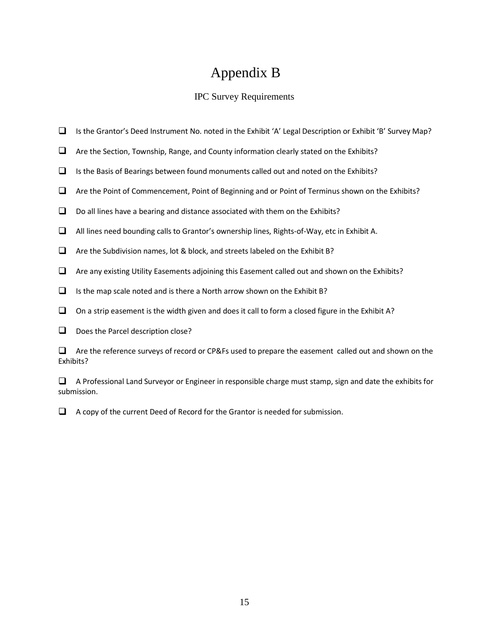## Appendix B

### IPC Survey Requirements

- Is the Grantor's Deed Instrument No. noted in the Exhibit 'A' Legal Description or Exhibit 'B' Survey Map?
- $\Box$  Are the Section, Township, Range, and County information clearly stated on the Exhibits?
- $\Box$  Is the Basis of Bearings between found monuments called out and noted on the Exhibits?
- Are the Point of Commencement, Point of Beginning and or Point of Terminus shown on the Exhibits?
- $\Box$  Do all lines have a bearing and distance associated with them on the Exhibits?
- $\Box$  All lines need bounding calls to Grantor's ownership lines, Rights-of-Way, etc in Exhibit A.
- $\Box$  Are the Subdivision names, lot & block, and streets labeled on the Exhibit B?
- $\Box$  Are any existing Utility Easements adjoining this Easement called out and shown on the Exhibits?
- $\Box$  Is the map scale noted and is there a North arrow shown on the Exhibit B?
- $\Box$  On a strip easement is the width given and does it call to form a closed figure in the Exhibit A?
- $\Box$  Does the Parcel description close?

 $\Box$  Are the reference surveys of record or CP&Fs used to prepare the easement called out and shown on the Exhibits?

 $\Box$  A Professional Land Surveyor or Engineer in responsible charge must stamp, sign and date the exhibits for submission.

 $\Box$  A copy of the current Deed of Record for the Grantor is needed for submission.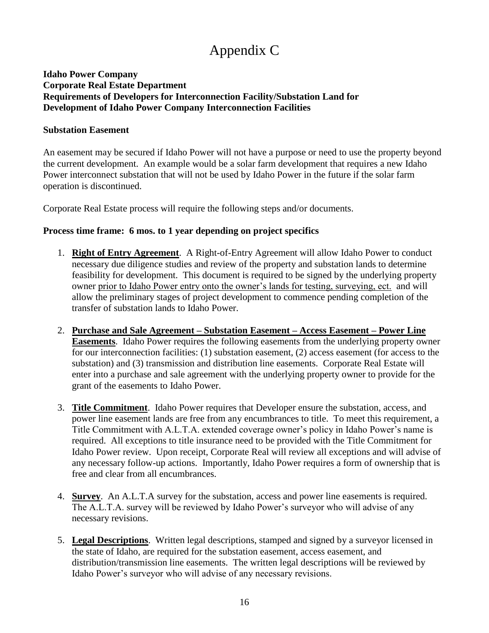## Appendix C

### **Idaho Power Company Corporate Real Estate Department Requirements of Developers for Interconnection Facility/Substation Land for Development of Idaho Power Company Interconnection Facilities**

#### **Substation Easement**

An easement may be secured if Idaho Power will not have a purpose or need to use the property beyond the current development. An example would be a solar farm development that requires a new Idaho Power interconnect substation that will not be used by Idaho Power in the future if the solar farm operation is discontinued.

Corporate Real Estate process will require the following steps and/or documents.

### **Process time frame: 6 mos. to 1 year depending on project specifics**

- 1. **Right of Entry Agreement**. A Right-of-Entry Agreement will allow Idaho Power to conduct necessary due diligence studies and review of the property and substation lands to determine feasibility for development. This document is required to be signed by the underlying property owner prior to Idaho Power entry onto the owner's lands for testing, surveying, ect. and will allow the preliminary stages of project development to commence pending completion of the transfer of substation lands to Idaho Power.
- 2. **Purchase and Sale Agreement – Substation Easement – Access Easement – Power Line Easements**. Idaho Power requires the following easements from the underlying property owner for our interconnection facilities: (1) substation easement, (2) access easement (for access to the substation) and (3) transmission and distribution line easements. Corporate Real Estate will enter into a purchase and sale agreement with the underlying property owner to provide for the grant of the easements to Idaho Power.
- 3. **Title Commitment**. Idaho Power requires that Developer ensure the substation, access, and power line easement lands are free from any encumbrances to title. To meet this requirement, a Title Commitment with A.L.T.A. extended coverage owner's policy in Idaho Power's name is required. All exceptions to title insurance need to be provided with the Title Commitment for Idaho Power review. Upon receipt, Corporate Real will review all exceptions and will advise of any necessary follow-up actions. Importantly, Idaho Power requires a form of ownership that is free and clear from all encumbrances.
- 4. **Survey**. An A.L.T.A survey for the substation, access and power line easements is required. The A.L.T.A. survey will be reviewed by Idaho Power's surveyor who will advise of any necessary revisions.
- 5. **Legal Descriptions**. Written legal descriptions, stamped and signed by a surveyor licensed in the state of Idaho, are required for the substation easement, access easement, and distribution/transmission line easements. The written legal descriptions will be reviewed by Idaho Power's surveyor who will advise of any necessary revisions.